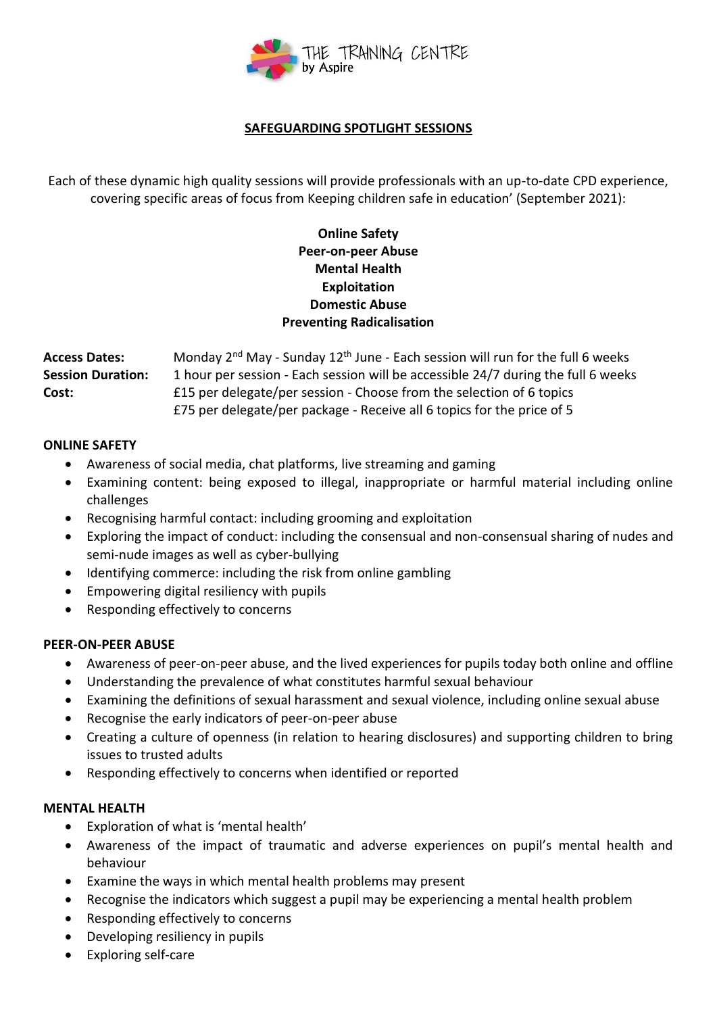

## **SAFEGUARDING SPOTLIGHT SESSIONS**

Each of these dynamic high quality sessions will provide professionals with an up-to-date CPD experience, covering specific areas of focus from Keeping children safe in education' (September 2021):

# **Online Safety Peer-on-peer Abuse Mental Health Exploitation Domestic Abuse Preventing Radicalisation**

Access Dates: Monday 2<sup>nd</sup> May - Sunday 12<sup>th</sup> June - Each session will run for the full 6 weeks **Session Duration:** 1 hour per session - Each session will be accessible 24/7 during the full 6 weeks **Cost:** £15 per delegate/per session - Choose from the selection of 6 topics £75 per delegate/per package - Receive all 6 topics for the price of 5

### **ONLINE SAFETY**

- Awareness of social media, chat platforms, live streaming and gaming
- Examining content: being exposed to illegal, inappropriate or harmful material including online challenges
- Recognising harmful contact: including grooming and exploitation
- Exploring the impact of conduct: including the consensual and non-consensual sharing of nudes and semi-nude images as well as cyber-bullying
- Identifying commerce: including the risk from online gambling
- Empowering digital resiliency with pupils
- Responding effectively to concerns

### **PEER-ON-PEER ABUSE**

- Awareness of peer-on-peer abuse, and the lived experiences for pupils today both online and offline
- Understanding the prevalence of what constitutes harmful sexual behaviour
- Examining the definitions of sexual harassment and sexual violence, including online sexual abuse
- Recognise the early indicators of peer-on-peer abuse
- Creating a culture of openness (in relation to hearing disclosures) and supporting children to bring issues to trusted adults
- Responding effectively to concerns when identified or reported

### **MENTAL HEALTH**

- Exploration of what is 'mental health'
- Awareness of the impact of traumatic and adverse experiences on pupil's mental health and behaviour
- Examine the ways in which mental health problems may present
- Recognise the indicators which suggest a pupil may be experiencing a mental health problem
- Responding effectively to concerns
- Developing resiliency in pupils
- Exploring self-care